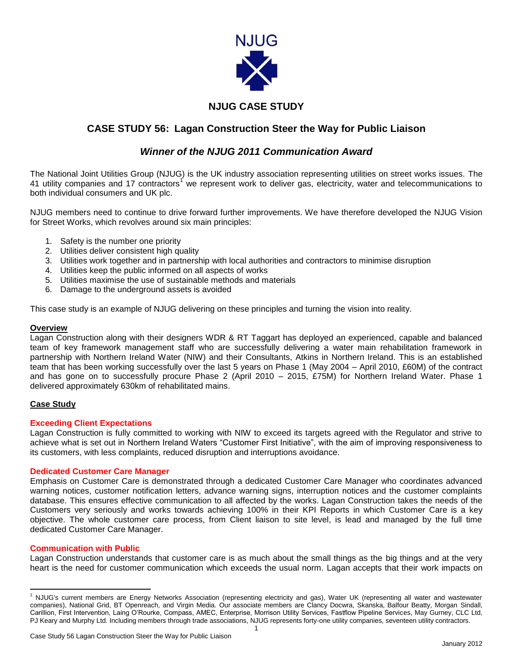

# **NJUG CASE STUDY**

# **CASE STUDY 56: Lagan Construction Steer the Way for Public Liaison**

## *Winner of the NJUG 2011 Communication Award*

The National Joint Utilities Group (NJUG) is the UK industry association representing utilities on street works issues. The 41 utility companies and 17 contractors<sup>1</sup> we represent work to deliver gas, electricity, water and telecommunications to both individual consumers and UK plc.

NJUG members need to continue to drive forward further improvements. We have therefore developed the NJUG Vision for Street Works, which revolves around six main principles:

- 1. Safety is the number one priority
- 2. Utilities deliver consistent high quality
- 3. Utilities work together and in partnership with local authorities and contractors to minimise disruption
- 4. Utilities keep the public informed on all aspects of works
- 5. Utilities maximise the use of sustainable methods and materials
- 6. Damage to the underground assets is avoided

This case study is an example of NJUG delivering on these principles and turning the vision into reality.

#### **Overview**

Lagan Construction along with their designers WDR & RT Taggart has deployed an experienced, capable and balanced team of key framework management staff who are successfully delivering a water main rehabilitation framework in partnership with Northern Ireland Water (NIW) and their Consultants, Atkins in Northern Ireland. This is an established team that has been working successfully over the last 5 years on Phase 1 (May 2004 – April 2010, £60M) of the contract and has gone on to successfully procure Phase 2 (April 2010 – 2015, £75M) for Northern Ireland Water. Phase 1 delivered approximately 630km of rehabilitated mains.

## **Case Study**

#### **Exceeding Client Expectations**

Lagan Construction is fully committed to working with NIW to exceed its targets agreed with the Regulator and strive to achieve what is set out in Northern Ireland Waters "Customer First Initiative", with the aim of improving responsiveness to its customers, with less complaints, reduced disruption and interruptions avoidance.

#### **Dedicated Customer Care Manager**

Emphasis on Customer Care is demonstrated through a dedicated Customer Care Manager who coordinates advanced warning notices, customer notification letters, advance warning signs, interruption notices and the customer complaints database. This ensures effective communication to all affected by the works. Lagan Construction takes the needs of the Customers very seriously and works towards achieving 100% in their KPI Reports in which Customer Care is a key objective. The whole customer care process, from Client liaison to site level, is lead and managed by the full time dedicated Customer Care Manager.

#### **Communication with Public**

Lagan Construction understands that customer care is as much about the small things as the big things and at the very heart is the need for customer communication which exceeds the usual norm. Lagan accepts that their work impacts on

 $\overline{\phantom{a}}$ <sup>1</sup> NJUG's current members are Energy Networks Association (representing electricity and gas), Water UK (representing all water and wastewater companies), National Grid, BT Openreach, and Virgin Media. Our associate members are Clancy Docwra, Skanska, Balfour Beatty, Morgan Sindall, Carillion, First Intervention, Laing O'Rourke, Compass, AMEC, Enterprise, Morrison Utility Services, Fastflow Pipeline Services, May Gurney, CLC Ltd, PJ Keary and Murphy Ltd. Including members through trade associations, NJUG represents forty-one utility companies, seventeen utility contractors.